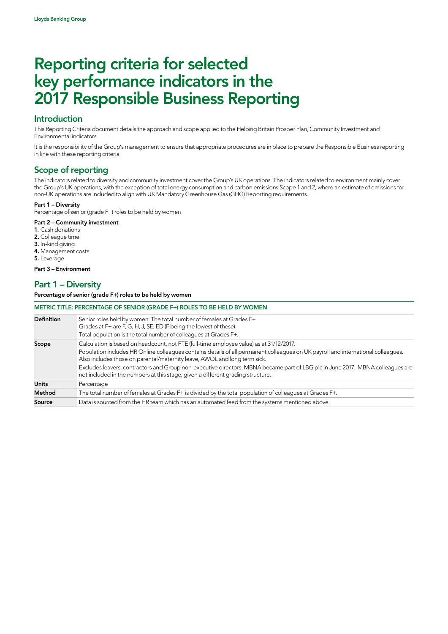### Introduction

This Reporting Criteria document details the approach and scope applied to the Helping Britain Prosper Plan, Community Investment and Environmental indicators.

It is the responsibility of the Group's management to ensure that appropriate procedures are in place to prepare the Responsible Business reporting in line with these reporting criteria.

# Scope of reporting

The indicators related to diversity and community investment cover the Group's UK operations. The indicators related to environment mainly cover the Group's UK operations, with the exception of total energy consumption and carbon emissions Scope 1 and 2, where an estimate of emissions for non-UK operations are included to align with UK Mandatory Greenhouse Gas (GHG) Reporting requirements.

#### Part 1 – Diversity

Percentage of senior (grade F+) roles to be held by women

#### Part 2 – Community investment

- 1. Cash donations
- 2. Colleague time
- 3. In-kind giving 4. Management costs
- 5. Leverage

Part 3 – Environment

### Part 1 – Diversity

Percentage of senior (grade F+) roles to be held by women

| METRIC TITLE: PERCENTAGE OF SENIOR (GRADE F+) ROLES TO BE HELD BY WOMEN |                                                                                                                                                                                                                                                                                                                                                                                                                                                                                                                                |
|-------------------------------------------------------------------------|--------------------------------------------------------------------------------------------------------------------------------------------------------------------------------------------------------------------------------------------------------------------------------------------------------------------------------------------------------------------------------------------------------------------------------------------------------------------------------------------------------------------------------|
| <b>Definition</b>                                                       | Senior roles held by women: The total number of females at Grades F+.<br>Grades at F+ are F, G, H, J, SE, ED (F being the lowest of these)<br>Total population is the total number of colleagues at Grades F+.                                                                                                                                                                                                                                                                                                                 |
| Scope                                                                   | Calculation is based on headcount, not FTE (full-time employee value) as at 31/12/2017.<br>Population includes HR Online colleagues contains details of all permanent colleagues on UK payroll and international colleagues.<br>Also includes those on parental/maternity leave, AWOL and long term sick.<br>Excludes leavers, contractors and Group non-executive directors. MBNA became part of LBG plc in June 2017. MBNA colleagues are<br>not included in the numbers at this stage, given a different grading structure. |
| <b>Units</b>                                                            | Percentage                                                                                                                                                                                                                                                                                                                                                                                                                                                                                                                     |
| Method                                                                  | The total number of females at Grades F+ is divided by the total population of colleagues at Grades F+.                                                                                                                                                                                                                                                                                                                                                                                                                        |
| Source                                                                  | Data is sourced from the HR team which has an automated feed from the systems mentioned above.                                                                                                                                                                                                                                                                                                                                                                                                                                 |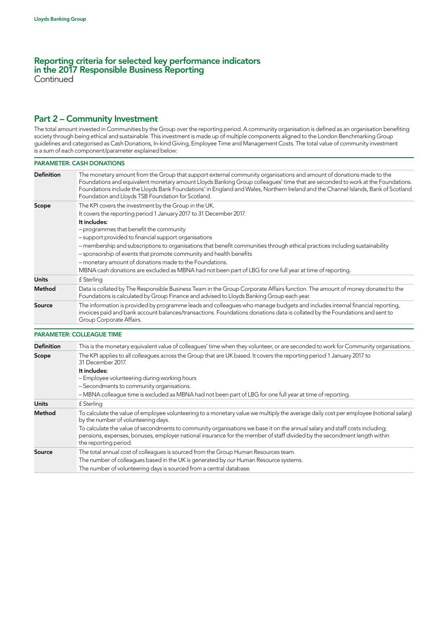**Continued** 

# Part 2 – Community Investment

The total amount invested in Communities by the Group over the reporting period. A community organisation is defined as an organisation benefiting society through being ethical and sustainable. This investment is made up of multiple components aligned to the London Benchmarking Group guidelines and categorised as Cash Donations, In-kind Giving, Employee Time and Management Costs. The total value of community investment is a sum of each component/parameter explained below:

#### PARAMETER: CASH DONATIONS

| <b>Definition</b> | The monetary amount from the Group that support external community organisations and amount of donations made to the<br>Foundations and equivalent monetary amount Lloyds Banking Group colleagues' time that are seconded to work at the Foundations.<br>Foundations include the Lloyds Bank Foundations' in England and Wales, Northern Ireland and the Channel Islands, Bank of Scotland<br>Foundation and Lloyds TSB Foundation for Scotland. |
|-------------------|---------------------------------------------------------------------------------------------------------------------------------------------------------------------------------------------------------------------------------------------------------------------------------------------------------------------------------------------------------------------------------------------------------------------------------------------------|
| Scope             | The KPI covers the investment by the Group in the UK.                                                                                                                                                                                                                                                                                                                                                                                             |
|                   | It covers the reporting period 1 January 2017 to 31 December 2017.                                                                                                                                                                                                                                                                                                                                                                                |
|                   | It includes:                                                                                                                                                                                                                                                                                                                                                                                                                                      |
|                   | - programmes that benefit the community                                                                                                                                                                                                                                                                                                                                                                                                           |
|                   | - support provided to financial support organisations                                                                                                                                                                                                                                                                                                                                                                                             |
|                   | - membership and subscriptions to organisations that benefit communities through ethical practices including sustainability                                                                                                                                                                                                                                                                                                                       |
|                   | - sponsorship of events that promote community and health benefits                                                                                                                                                                                                                                                                                                                                                                                |
|                   | - monetary amount of donations made to the Foundations.                                                                                                                                                                                                                                                                                                                                                                                           |
|                   | MBNA cash donations are excluded as MBNA had not been part of LBG for one full year at time of reporting.                                                                                                                                                                                                                                                                                                                                         |
| <b>Units</b>      | £ Sterling                                                                                                                                                                                                                                                                                                                                                                                                                                        |
| Method            | Data is collated by The Responsible Business Team in the Group Corporate Affairs function. The amount of money donated to the<br>Foundations is calculated by Group Finance and advised to Lloyds Banking Group each year.                                                                                                                                                                                                                        |
| Source            | The information is provided by programme leads and colleagues who manage budgets and includes internal financial reporting,<br>invoices paid and bank account balances/transactions. Foundations donations data is collated by the Foundations and sent to<br>Group Corporate Affairs.                                                                                                                                                            |

#### PARAMETER: COLLEAGUE TIME

| This is the monetary equivalent value of colleagues' time when they volunteer, or are seconded to work for Community organisations.                                                                                                                                              |
|----------------------------------------------------------------------------------------------------------------------------------------------------------------------------------------------------------------------------------------------------------------------------------|
| The KPI applies to all colleagues across the Group that are UK based. It covers the reporting period 1 January 2017 to<br>31 December 2017.                                                                                                                                      |
| It includes:                                                                                                                                                                                                                                                                     |
| - Employee volunteering during working hours                                                                                                                                                                                                                                     |
| - Secondments to community organisations.                                                                                                                                                                                                                                        |
| -MBNA colleague time is excluded as MBNA had not been part of LBG for one full year at time of reporting.                                                                                                                                                                        |
| £ Sterling                                                                                                                                                                                                                                                                       |
| To calculate the value of employee volunteering to a monetary value we multiply the average daily cost per employee (notional salary)<br>by the number of volunteering days.                                                                                                     |
| To calculate the value of secondments to community organisations we base it on the annual salary and staff costs including;<br>pensions, expenses, bonuses, employer national insurance for the member of staff divided by the secondment length within<br>the reporting period. |
| The total annual cost of colleagues is sourced from the Group Human Resources team.                                                                                                                                                                                              |
| The number of colleagues based in the UK is generated by our Human Resource systems.                                                                                                                                                                                             |
| The number of volunteering days is sourced from a central database.                                                                                                                                                                                                              |
|                                                                                                                                                                                                                                                                                  |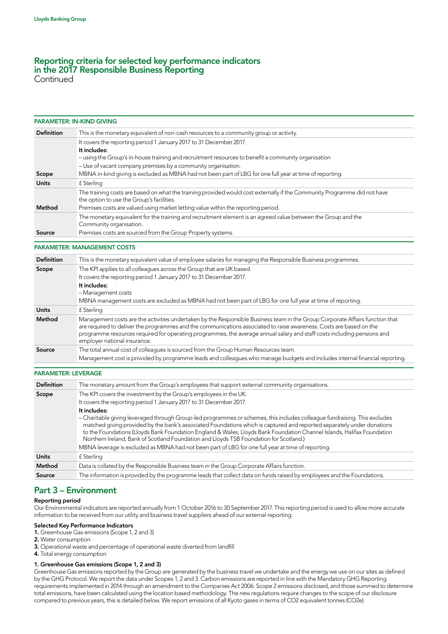**Continued** 

|                   | <b>PARAMETER: IN-KIND GIVING</b>                                                                                                                                                                                                                                                                                                                                                                               |
|-------------------|----------------------------------------------------------------------------------------------------------------------------------------------------------------------------------------------------------------------------------------------------------------------------------------------------------------------------------------------------------------------------------------------------------------|
| <b>Definition</b> | This is the monetary equivalent of non-cash resources to a community group or activity.                                                                                                                                                                                                                                                                                                                        |
|                   | It covers the reporting period 1 January 2017 to 31 December 2017.<br>It includes:                                                                                                                                                                                                                                                                                                                             |
|                   | - using the Group's in-house training and recruitment resources to benefit a community organisation                                                                                                                                                                                                                                                                                                            |
|                   | - Use of vacant company premises by a community organisation.                                                                                                                                                                                                                                                                                                                                                  |
| Scope             | MBNA in-kind giving is excluded as MBNA had not been part of LBG for one full year at time of reporting.                                                                                                                                                                                                                                                                                                       |
| <b>Units</b>      | f Sterling                                                                                                                                                                                                                                                                                                                                                                                                     |
|                   | The training costs are based on what the training provided would cost externally if the Community Programme did not have<br>the option to use the Group's facilities.                                                                                                                                                                                                                                          |
| Method            | Premises costs are valued using market letting value within the reporting period.                                                                                                                                                                                                                                                                                                                              |
|                   | The monetary equivalent for the training and recruitment element is an agreed value between the Group and the<br>Community organisation.                                                                                                                                                                                                                                                                       |
| Source            | Premises costs are sourced from the Group Property systems.                                                                                                                                                                                                                                                                                                                                                    |
|                   | <b>PARAMETER: MANAGEMENT COSTS</b>                                                                                                                                                                                                                                                                                                                                                                             |
|                   |                                                                                                                                                                                                                                                                                                                                                                                                                |
| <b>Definition</b> | This is the monetary equivalent value of employee salaries for managing the Responsible Business programmes.                                                                                                                                                                                                                                                                                                   |
| Scope             | The KPI applies to all colleagues across the Group that are UK based.                                                                                                                                                                                                                                                                                                                                          |
|                   | It covers the reporting period 1 January 2017 to 31 December 2017.                                                                                                                                                                                                                                                                                                                                             |
|                   | It includes:                                                                                                                                                                                                                                                                                                                                                                                                   |
|                   | - Management costs                                                                                                                                                                                                                                                                                                                                                                                             |
|                   | MBNA management costs are excluded as MBNA had not been part of LBG for one full year at time of reporting.                                                                                                                                                                                                                                                                                                    |
| <b>Units</b>      | £ Sterling                                                                                                                                                                                                                                                                                                                                                                                                     |
| Method            | Management costs are the activities undertaken by the Responsible Business team in the Group Corporate Affairs function that<br>are required to deliver the programmes and the communications associated to raise awareness. Costs are based on the<br>programme resources required for operating programmes, the average annual salary and staff costs including pensions and<br>employer national insurance. |
| Source            | The total annual cost of colleagues is sourced from the Group Human Resources team.                                                                                                                                                                                                                                                                                                                            |
|                   | Management cost is provided by programme leads and colleagues who manage budgets and includes internal financial reporting.                                                                                                                                                                                                                                                                                    |

#### PARAMETER: LEVERAGE

| <b>Definition</b> | The monetary amount from the Group's employees that support external community organisations.                                                                                                                                                                                                                                                                                                                                                                           |
|-------------------|-------------------------------------------------------------------------------------------------------------------------------------------------------------------------------------------------------------------------------------------------------------------------------------------------------------------------------------------------------------------------------------------------------------------------------------------------------------------------|
| Scope             | The KPI covers the investment by the Group's employees in the UK.                                                                                                                                                                                                                                                                                                                                                                                                       |
|                   | It covers the reporting period 1 January 2017 to 31 December 2017.                                                                                                                                                                                                                                                                                                                                                                                                      |
|                   | It includes:                                                                                                                                                                                                                                                                                                                                                                                                                                                            |
|                   | - Charitable giving leveraged through Group-led programmes or schemes, this includes colleague fundraising. This excludes<br>matched giving provided by the bank's associated Foundations which is captured and reported separately under donations<br>to the Foundations (Lloyds Bank Foundation England & Wales, Lloyds Bank Foundation Channel Islands, Halifax Foundation<br>Northern Ireland, Bank of Scotland Foundation and Lloyds TSB Foundation for Scotland.) |
|                   | MBNA leverage is excluded as MBNA had not been part of LBG for one full year at time of reporting.                                                                                                                                                                                                                                                                                                                                                                      |
| <b>Units</b>      | £ Sterling                                                                                                                                                                                                                                                                                                                                                                                                                                                              |
| Method            | Data is collated by the Responsible Business team in the Group Corporate Affairs function.                                                                                                                                                                                                                                                                                                                                                                              |
| Source            | The information is provided by the programme leads that collect data on funds raised by employees and the Foundations.                                                                                                                                                                                                                                                                                                                                                  |

### Part 3 – Environment

#### Reporting period

Our Environmental indicators are reported annually from 1 October 2016 to 30 September 2017. This reporting period is used to allow more accurate information to be received from our utility and business travel suppliers ahead of our external reporting.

#### Selected Key Performance Indicators

- 1. Greenhouse Gas emissions (Scope 1, 2 and 3)
- 2. Water consumption
- 3. Operational waste and percentage of operational waste diverted from landfill
- 4. Total energy consumption

#### 1. Greenhouse Gas emissions (Scope 1, 2 and 3)

Greenhouse Gas emissions reported by the Group are generated by the business travel we undertake and the energy we use on our sites as defined by the GHG Protocol. We report the data under Scopes 1, 2 and 3. Carbon emissions are reported in line with the Mandatory GHG Reporting requirements implemented in 2014 through an amendment to the Companies Act 2006. Scope 2 emissions disclosed, and those summed to determine total emissions, have been calculated using the location based methodology. The new regulations require changes to the scope of our disclosure compared to previous years, this is detailed below. We report emissions of all Kyoto gases in terms of CO2 equivalent tonnes (CO2e).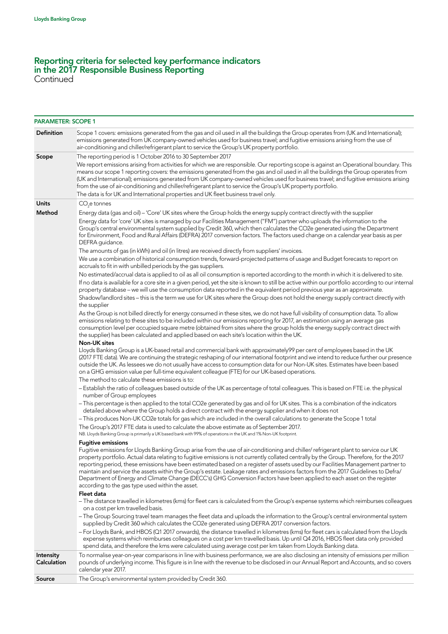Continued

| <b>PARAMETER: SCOPE 1</b> |                                                                                                                                                                                                                                                                                                                                                                                                                                                                                                                                                                                                                                                                                                                                         |
|---------------------------|-----------------------------------------------------------------------------------------------------------------------------------------------------------------------------------------------------------------------------------------------------------------------------------------------------------------------------------------------------------------------------------------------------------------------------------------------------------------------------------------------------------------------------------------------------------------------------------------------------------------------------------------------------------------------------------------------------------------------------------------|
| <b>Definition</b>         | Scope 1 covers: emissions generated from the gas and oil used in all the buildings the Group operates from (UK and International);<br>emissions generated from UK company-owned vehicles used for business travel; and fugitive emissions arising from the use of<br>air-conditioning and chiller/refrigerant plant to service the Group's UK property portfolio.                                                                                                                                                                                                                                                                                                                                                                       |
| Scope                     | The reporting period is 1 October 2016 to 30 September 2017                                                                                                                                                                                                                                                                                                                                                                                                                                                                                                                                                                                                                                                                             |
|                           | We report emissions arising from activities for which we are responsible. Our reporting scope is against an Operational boundary. This<br>means our scope 1 reporting covers: the emissions generated from the gas and oil used in all the buildings the Group operates from<br>(UK and International); emissions generated from UK company-owned vehicles used for business travel; and fugitive emissions arising<br>from the use of air-conditioning and chiller/refrigerant plant to service the Group's UK property portfolio.<br>The data is for UK and International properties and UK fleet business travel only.                                                                                                               |
| <b>Units</b>              | $CO2e$ tonnes                                                                                                                                                                                                                                                                                                                                                                                                                                                                                                                                                                                                                                                                                                                           |
| Method                    | Energy data (gas and oil) - 'Core' UK sites where the Group holds the energy supply contract directly with the supplier<br>Energy data for 'core' UK sites is managed by our Facilities Management ("FM") partner who uploads the information to the<br>Group's central environmental system supplied by Credit 360, which then calculates the CO2e generated using the Department<br>for Environment, Food and Rural Affairs (DEFRA) 2017 conversion factors. The factors used change on a calendar year basis as per<br>DEFRA guidance.                                                                                                                                                                                               |
|                           | The amounts of gas (in kWh) and oil (in litres) are received directly from suppliers' invoices.                                                                                                                                                                                                                                                                                                                                                                                                                                                                                                                                                                                                                                         |
|                           | We use a combination of historical consumption trends, forward-projected patterns of usage and Budget forecasts to report on<br>accruals to fit in with unbilled periods by the gas suppliers.                                                                                                                                                                                                                                                                                                                                                                                                                                                                                                                                          |
|                           | No estimated/accrual data is applied to oil as all oil consumption is reported according to the month in which it is delivered to site.<br>If no data is available for a core site in a given period, yet the site is known to still be active within our portfolio according to our internal<br>property database - we will use the consumption data reported in the equivalent period previous year as an approximate.                                                                                                                                                                                                                                                                                                                |
|                           | Shadow/landlord sites - this is the term we use for UK sites where the Group does not hold the energy supply contract directly with<br>the supplier                                                                                                                                                                                                                                                                                                                                                                                                                                                                                                                                                                                     |
|                           | As the Group is not billed directly for energy consumed in these sites, we do not have full visibility of consumption data. To allow<br>emissions relating to these sites to be included within our emissions reporting for 2017, an estimation using an average gas<br>consumption level per occupied square metre (obtained from sites where the group holds the energy supply contract direct with<br>the supplier) has been calculated and applied based on each site's location within the UK.<br><b>Non-UK sites</b>                                                                                                                                                                                                              |
|                           | Lloyds Banking Group is a UK-based retail and commercial bank with approximately99 per cent of employees based in the UK<br>(2017 FTE data). We are continuing the strategic reshaping of our international footprint and we intend to reduce further our presence<br>outside the UK. As lessees we do not usually have access to consumption data for our Non-UK sites. Estimates have been based<br>on a GHG emission value per full-time equivalent colleague (FTE) for our UK-based operations.                                                                                                                                                                                                                                     |
|                           | The method to calculate these emissions is to:                                                                                                                                                                                                                                                                                                                                                                                                                                                                                                                                                                                                                                                                                          |
|                           | - Establish the ratio of colleagues based outside of the UK as percentage of total colleagues. This is based on FTE i.e. the physical<br>number of Group employees                                                                                                                                                                                                                                                                                                                                                                                                                                                                                                                                                                      |
|                           | - This percentage is then applied to the total CO2e generated by gas and oil for UK sites. This is a combination of the indicators<br>detailed above where the Group holds a direct contract with the energy supplier and when it does not                                                                                                                                                                                                                                                                                                                                                                                                                                                                                              |
|                           | - This produces Non-UK CO2e totals for gas which are included in the overall calculations to generate the Scope 1 total<br>The Group's 2017 FTE data is used to calculate the above estimate as of September 2017.<br>NB. Lloyds Banking Group is primarily a UK based bank with 99% of operations in the UK and 1% Non-UK footprint.                                                                                                                                                                                                                                                                                                                                                                                                   |
|                           | <b>Fugitive emissions</b>                                                                                                                                                                                                                                                                                                                                                                                                                                                                                                                                                                                                                                                                                                               |
|                           | Fugitive emissions for Lloyds Banking Group arise from the use of air-conditioning and chiller/ refrigerant plant to service our UK<br>property portfolio. Actual data relating to fugitive emissions is not currently collated centrally by the Group. Therefore, for the 2017<br>reporting period, these emissions have been estimated based on a register of assets used by our Facilities Management partner to<br>maintain and service the assets within the Group's estate. Leakage rates and emissions factors from the 2017 Guidelines to Defra/<br>Department of Energy and Climate Change (DECC's) GHG Conversion Factors have been applied to each asset on the register<br>according to the gas type used within the asset. |
|                           | Fleet data<br>- The distance travelled in kilometres (kms) for fleet cars is calculated from the Group's expense systems which reimburses colleagues                                                                                                                                                                                                                                                                                                                                                                                                                                                                                                                                                                                    |
|                           | on a cost per km travelled basis.<br>- The Group Sourcing travel team manages the fleet data and uploads the information to the Group's central environmental system<br>supplied by Credit 360 which calculates the CO2e generated using DEFRA 2017 conversion factors.                                                                                                                                                                                                                                                                                                                                                                                                                                                                 |
|                           | - For Lloyds Bank, and HBOS (Q1 2017 onwards), the distance travelled in kilometres (kms) for fleet cars is calculated from the Lloyds<br>expense systems which reimburses colleagues on a cost per km travelled basis. Up until Q4 2016, HBOS fleet data only provided<br>spend data, and therefore the kms were calculated using average cost per km taken from Lloyds Banking data.                                                                                                                                                                                                                                                                                                                                                  |
| Intensity<br>Calculation  | To normalise year-on-year comparisons in line with business performance, we are also disclosing an intensity of emissions per million<br>pounds of underlying income. This figure is in line with the revenue to be disclosed in our Annual Report and Accounts, and so covers<br>calendar year 2017.                                                                                                                                                                                                                                                                                                                                                                                                                                   |
| Source                    | The Group's environmental system provided by Credit 360.                                                                                                                                                                                                                                                                                                                                                                                                                                                                                                                                                                                                                                                                                |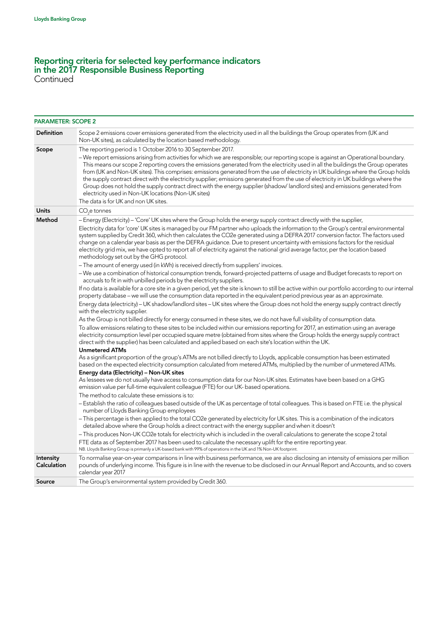Continued

| <b>PARAMETER: SCOPE 2</b> |                                                                                                                                                                                                                                                                                                                                                                                                                                                                                                                                                                                                                                                                                                                                             |
|---------------------------|---------------------------------------------------------------------------------------------------------------------------------------------------------------------------------------------------------------------------------------------------------------------------------------------------------------------------------------------------------------------------------------------------------------------------------------------------------------------------------------------------------------------------------------------------------------------------------------------------------------------------------------------------------------------------------------------------------------------------------------------|
| <b>Definition</b>         | Scope 2 emissions cover emissions generated from the electricity used in all the buildings the Group operates from (UK and<br>Non-UK sites), as calculated by the location based methodology.                                                                                                                                                                                                                                                                                                                                                                                                                                                                                                                                               |
| Scope                     | The reporting period is 1 October 2016 to 30 September 2017.                                                                                                                                                                                                                                                                                                                                                                                                                                                                                                                                                                                                                                                                                |
|                           | - We report emissions arising from activities for which we are responsible; our reporting scope is against an Operational boundary.<br>This means our scope 2 reporting covers the emissions generated from the electricity used in all the buildings the Group operates<br>from (UK and Non-UK sites). This comprises: emissions generated from the use of electricity in UK buildings where the Group holds<br>the supply contract direct with the electricity supplier; emissions generated from the use of electricity in UK buildings where the<br>Group does not hold the supply contract direct with the energy supplier (shadow/landlord sites) and emissions generated from<br>electricity used in Non-UK locations (Non-UK sites) |
|                           | The data is for UK and non UK sites.                                                                                                                                                                                                                                                                                                                                                                                                                                                                                                                                                                                                                                                                                                        |
| <b>Units</b>              | $CO2e$ tonnes                                                                                                                                                                                                                                                                                                                                                                                                                                                                                                                                                                                                                                                                                                                               |
| Method                    | - Energy (Electricity) - 'Core' UK sites where the Group holds the energy supply contract directly with the supplier,                                                                                                                                                                                                                                                                                                                                                                                                                                                                                                                                                                                                                       |
|                           | Electricity data for 'core' UK sites is managed by our FM partner who uploads the information to the Group's central environmental<br>system supplied by Credit 360, which then calculates the CO2e generated using a DEFRA 2017 conversion factor. The factors used<br>change on a calendar year basis as per the DEFRA guidance. Due to present uncertainty with emissions factors for the residual<br>electricity grid mix, we have opted to report all of electricity against the national grid average factor, per the location based<br>methodology set out by the GHG protocol.                                                                                                                                                      |
|                           | - The amount of energy used (in kWh) is received directly from suppliers' invoices.                                                                                                                                                                                                                                                                                                                                                                                                                                                                                                                                                                                                                                                         |
|                           | -We use a combination of historical consumption trends, forward-projected patterns of usage and Budget forecasts to report on<br>accruals to fit in with unbilled periods by the electricity suppliers.                                                                                                                                                                                                                                                                                                                                                                                                                                                                                                                                     |
|                           | If no data is available for a core site in a given period, yet the site is known to still be active within our portfolio according to our internal<br>property database - we will use the consumption data reported in the equivalent period previous year as an approximate.                                                                                                                                                                                                                                                                                                                                                                                                                                                               |
|                           | Energy data (electricity) – UK shadow/landlord sites – UK sites where the Group does not hold the energy supply contract directly<br>with the electricity supplier.                                                                                                                                                                                                                                                                                                                                                                                                                                                                                                                                                                         |
|                           | As the Group is not billed directly for energy consumed in these sites, we do not have full visibility of consumption data.                                                                                                                                                                                                                                                                                                                                                                                                                                                                                                                                                                                                                 |
|                           | To allow emissions relating to these sites to be included within our emissions reporting for 2017, an estimation using an average<br>electricity consumption level per occupied square metre (obtained from sites where the Group holds the energy supply contract<br>direct with the supplier) has been calculated and applied based on each site's location within the UK.                                                                                                                                                                                                                                                                                                                                                                |
|                           | <b>Unmetered ATMs</b>                                                                                                                                                                                                                                                                                                                                                                                                                                                                                                                                                                                                                                                                                                                       |
|                           | As a significant proportion of the group's ATMs are not billed directly to Lloyds, applicable consumption has been estimated<br>based on the expected electricity consumption calculated from metered ATMs, multiplied by the number of unmetered ATMs.                                                                                                                                                                                                                                                                                                                                                                                                                                                                                     |
|                           | Energy data (Electricity) - Non-UK sites                                                                                                                                                                                                                                                                                                                                                                                                                                                                                                                                                                                                                                                                                                    |
|                           | As lessees we do not usually have access to consumption data for our Non-UK sites. Estimates have been based on a GHG<br>emission value per full-time equivalent colleague (FTE) for our UK- based operations.                                                                                                                                                                                                                                                                                                                                                                                                                                                                                                                              |
|                           | The method to calculate these emissions is to:                                                                                                                                                                                                                                                                                                                                                                                                                                                                                                                                                                                                                                                                                              |
|                           | - Establish the ratio of colleagues based outside of the UK as percentage of total colleagues. This is based on FTE i.e. the physical<br>number of Lloyds Banking Group employees                                                                                                                                                                                                                                                                                                                                                                                                                                                                                                                                                           |
|                           | - This percentage is then applied to the total CO2e generated by electricity for UK sites. This is a combination of the indicators<br>detailed above where the Group holds a direct contract with the energy supplier and when it doesn't                                                                                                                                                                                                                                                                                                                                                                                                                                                                                                   |
|                           | - This produces Non-UK CO2e totals for electricity which is included in the overall calculations to generate the scope 2 total                                                                                                                                                                                                                                                                                                                                                                                                                                                                                                                                                                                                              |
|                           | FTE data as of September 2017 has been used to calculate the necessary uplift for the entire reporting year.<br>NB. Lloyds Banking Group is primarily a UK-based bank with 99% of operations in the UK and 1% Non-UK footprint.                                                                                                                                                                                                                                                                                                                                                                                                                                                                                                             |
| Intensity<br>Calculation  | To normalise year-on-year comparisons in line with business performance, we are also disclosing an intensity of emissions per million<br>pounds of underlying income. This figure is in line with the revenue to be disclosed in our Annual Report and Accounts, and so covers<br>calendar year 2017                                                                                                                                                                                                                                                                                                                                                                                                                                        |
| Source                    | The Group's environmental system provided by Credit 360.                                                                                                                                                                                                                                                                                                                                                                                                                                                                                                                                                                                                                                                                                    |
|                           |                                                                                                                                                                                                                                                                                                                                                                                                                                                                                                                                                                                                                                                                                                                                             |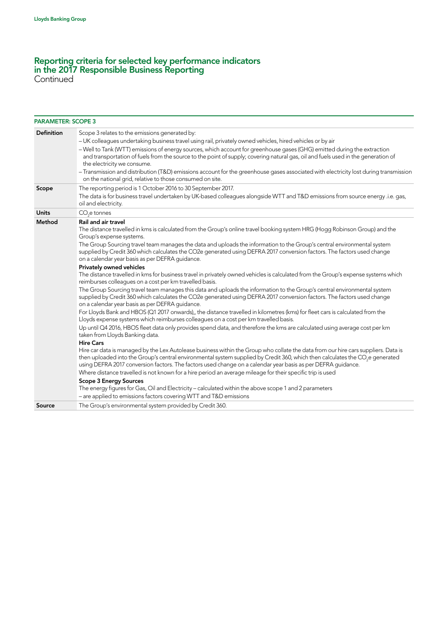Continued

| <b>PARAMETER: SCOPE 3</b> |                                                                                                                                                                                                                                                                                                                                                                                                                                                                                                                                                                                                                                                                   |
|---------------------------|-------------------------------------------------------------------------------------------------------------------------------------------------------------------------------------------------------------------------------------------------------------------------------------------------------------------------------------------------------------------------------------------------------------------------------------------------------------------------------------------------------------------------------------------------------------------------------------------------------------------------------------------------------------------|
| <b>Definition</b>         | Scope 3 relates to the emissions generated by:<br>- UK colleagues undertaking business travel using rail, privately owned vehicles, hired vehicles or by air<br>- Well to Tank (WTT) emissions of energy sources, which account for greenhouse gases (GHG) emitted during the extraction<br>and transportation of fuels from the source to the point of supply; covering natural gas, oil and fuels used in the generation of<br>the electricity we consume.<br>-Transmission and distribution (T&D) emissions account for the greenhouse gases associated with electricity lost during transmission<br>on the national grid, relative to those consumed on site. |
| Scope                     | The reporting period is 1 October 2016 to 30 September 2017.<br>The data is for business travel undertaken by UK-based colleagues alongside WTT and T&D emissions from source energy .i.e. gas,<br>oil and electricity.                                                                                                                                                                                                                                                                                                                                                                                                                                           |
| <b>Units</b>              | CO <sub>2</sub> e tonnes                                                                                                                                                                                                                                                                                                                                                                                                                                                                                                                                                                                                                                          |
| Method                    | Rail and air travel<br>The distance travelled in kms is calculated from the Group's online travel booking system HRG (Hogg Robinson Group) and the<br>Group's expense systems.<br>The Group Sourcing travel team manages the data and uploads the information to the Group's central environmental system<br>supplied by Credit 360 which calculates the CO2e generated using DEFRA 2017 conversion factors. The factors used change<br>on a calendar year basis as per DEFRA guidance.                                                                                                                                                                           |
|                           | Privately owned vehicles<br>The distance travelled in kms for business travel in privately owned vehicles is calculated from the Group's expense systems which<br>reimburses colleagues on a cost per km travelled basis.<br>The Group Sourcing travel team manages this data and uploads the information to the Group's central environmental system<br>supplied by Credit 360 which calculates the CO2e generated using DEFRA 2017 conversion factors. The factors used change                                                                                                                                                                                  |
|                           | on a calendar year basis as per DEFRA guidance.<br>For Lloyds Bank and HBOS (Q1 2017 onwards),, the distance travelled in kilometres (kms) for fleet cars is calculated from the<br>Lloyds expense systems which reimburses colleagues on a cost per km travelled basis.                                                                                                                                                                                                                                                                                                                                                                                          |
|                           | Up until Q4 2016, HBOS fleet data only provides spend data, and therefore the kms are calculated using average cost per km<br>taken from Lloyds Banking data.                                                                                                                                                                                                                                                                                                                                                                                                                                                                                                     |
|                           | <b>Hire Cars</b><br>Hire car data is managed by the Lex Autolease business within the Group who collate the data from our hire cars suppliers. Data is<br>then uploaded into the Group's central environmental system supplied by Credit 360, which then calculates the CO <sub>2</sub> e generated<br>using DEFRA 2017 conversion factors. The factors used change on a calendar year basis as per DEFRA quidance.                                                                                                                                                                                                                                               |
|                           | Where distance travelled is not known for a hire period an average mileage for their specific trip is used<br><b>Scope 3 Energy Sources</b><br>The energy figures for Gas, Oil and Electricity – calculated within the above scope 1 and 2 parameters<br>- are applied to emissions factors covering WTT and T&D emissions                                                                                                                                                                                                                                                                                                                                        |
|                           |                                                                                                                                                                                                                                                                                                                                                                                                                                                                                                                                                                                                                                                                   |

Source The Group's environmental system provided by Credit 360.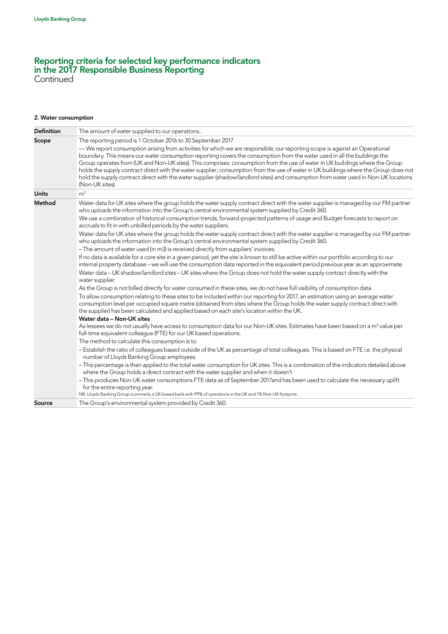#### 2. Water consumption

| The amount of water supplied to our operations                                                                                                                                                                                                                                                                                                                                                                                                                                                                                                                                                                                                                                            |
|-------------------------------------------------------------------------------------------------------------------------------------------------------------------------------------------------------------------------------------------------------------------------------------------------------------------------------------------------------------------------------------------------------------------------------------------------------------------------------------------------------------------------------------------------------------------------------------------------------------------------------------------------------------------------------------------|
| The reporting period is 1 October 2016 to 30 September 2017.                                                                                                                                                                                                                                                                                                                                                                                                                                                                                                                                                                                                                              |
| - We report consumption arising from activities for which we are responsible; our reporting scope is against an Operational<br>boundary. This means our water consumption reporting covers the consumption from the water used in all the buildings the<br>Group operates from (UK and Non-UK sites). This comprises: consumption from the use of water in UK buildings where the Group<br>holds the supply contract direct with the water supplier; consumption from the use of water in UK buildings where the Group does not<br>hold the supply contract direct with the water supplier (shadow/landlord sites) and consumption from water used in Non-UK locations<br>(Non-UK sites). |
| m <sup>3</sup>                                                                                                                                                                                                                                                                                                                                                                                                                                                                                                                                                                                                                                                                            |
| Water data for UK sites where the group holds the water supply contract direct with the water supplier is managed by our FM partner<br>who uploads the information into the Group's central environmental system supplied by Credit 360.<br>We use a combination of historical consumption trends, forward-projected patterns of usage and Budget forecasts to report on                                                                                                                                                                                                                                                                                                                  |
| accruals to fit in with unbilled periods by the water suppliers.                                                                                                                                                                                                                                                                                                                                                                                                                                                                                                                                                                                                                          |
| Water data for UK sites where the group holds the water supply contract direct with the water supplier is managed by our FM partner<br>who uploads the information into the Group's central environmental system supplied by Credit 360.                                                                                                                                                                                                                                                                                                                                                                                                                                                  |
| - The amount of water used (in m3) is received directly from suppliers' invoices.                                                                                                                                                                                                                                                                                                                                                                                                                                                                                                                                                                                                         |
| If no data is available for a core site in a given period, yet the site is known to still be active within our portfolio according to our<br>internal property database - we will use the consumption data reported in the equivalent period previous year as an approximate.<br>Water data - UK shadow/landlord sites - UK sites where the Group does not hold the water supply contract directly with the<br>water supplier.                                                                                                                                                                                                                                                            |
| As the Group is not billed directly for water consumed in these sites, we do not have full visibility of consumption data.                                                                                                                                                                                                                                                                                                                                                                                                                                                                                                                                                                |
| To allow consumption relating to these sites to be included within our reporting for 2017, an estimation using an average water<br>consumption level per occupied square metre (obtained from sites where the Group holds the water supply contract direct with<br>the supplier) has been calculated and applied based on each site's location within the UK.                                                                                                                                                                                                                                                                                                                             |
| Water data - Non-UK sites                                                                                                                                                                                                                                                                                                                                                                                                                                                                                                                                                                                                                                                                 |
| As lessees we do not usually have access to consumption data for our Non-UK sites. Estimates have been based on a m <sup>3</sup> value per<br>full-time equivalent colleague (FTE) for our UK based operations.                                                                                                                                                                                                                                                                                                                                                                                                                                                                           |
| The method to calculate this consumption is to:                                                                                                                                                                                                                                                                                                                                                                                                                                                                                                                                                                                                                                           |
| - Establish the ratio of colleagues based outside of the UK as percentage of total colleagues. This is based on FTE i.e. the physical<br>number of Lloyds Banking Group employees                                                                                                                                                                                                                                                                                                                                                                                                                                                                                                         |
| - This percentage is then applied to the total water consumption for UK sites. This is a combination of the indicators detailed above<br>where the Group holds a direct contract with the water supplier and when it doesn't                                                                                                                                                                                                                                                                                                                                                                                                                                                              |
| - This produces Non-UK water consumptions FTE data as of September 2017and has been used to calculate the necessary uplift<br>for the entire reporting year.<br>NB. Lloyds Banking Group is primarily a UK-based bank with 99% of operations in the UK and 1% Non-UK footprint.                                                                                                                                                                                                                                                                                                                                                                                                           |
| The Group's environmental system provided by Credit 360.                                                                                                                                                                                                                                                                                                                                                                                                                                                                                                                                                                                                                                  |
|                                                                                                                                                                                                                                                                                                                                                                                                                                                                                                                                                                                                                                                                                           |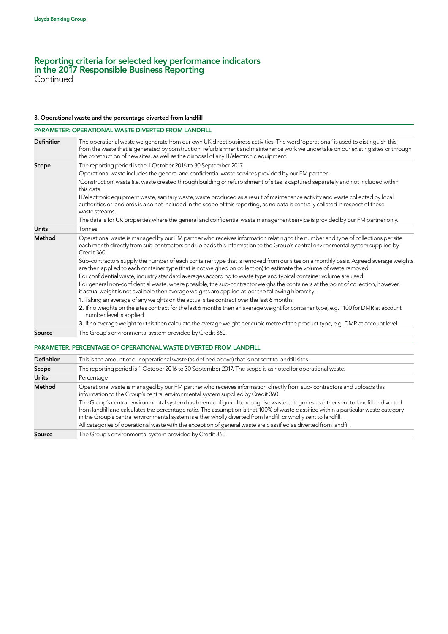Continued

#### 3. Operational waste and the percentage diverted from landfill

| <b>Definition</b><br>The operational waste we generate from our own UK direct business activities. The word 'operational' is used to distinguish this<br>from the waste that is generated by construction, refurbishment and maintenance work we undertake on our existing sites or through<br>the construction of new sites, as well as the disposal of any IT/electronic equipment.<br>The reporting period is the 1 October 2016 to 30 September 2017.<br>Scope<br>Operational waste includes the general and confidential waste services provided by our FM partner.<br>'Construction' waste (i.e. waste created through building or refurbishment of sites is captured separately and not included within<br>this data.<br>IT/electronic equipment waste, sanitary waste, waste produced as a result of maintenance activity and waste collected by local<br>authorities or landlords is also not included in the scope of this reporting, as no data is centrally collated in respect of these<br>waste streams.<br>The data is for UK properties where the general and confidential waste management service is provided by our FM partner only.<br><b>Units</b><br>Tonnes<br>Method<br>Operational waste is managed by our FM partner who receives information relating to the number and type of collections per site<br>each month directly from sub-contractors and uploads this information to the Group's central environmental system supplied by<br>Credit 360.<br>Sub-contractors supply the number of each container type that is removed from our sites on a monthly basis. Agreed average weights<br>are then applied to each container type (that is not weighed on collection) to estimate the volume of waste removed.<br>For confidential waste, industry standard averages according to waste type and typical container volume are used.<br>For general non-confidential waste, where possible, the sub-contractor weighs the containers at the point of collection, however,<br>if actual weight is not available then average weights are applied as per the following hierarchy:<br>1. Taking an average of any weights on the actual sites contract over the last 6 months<br>2. If no weights on the sites contract for the last 6 months then an average weight for container type, e.g. 1100 for DMR at account<br>number level is applied<br>3. If no average weight for this then calculate the average weight per cubic metre of the product type, e.g. DMR at account level<br>The Group's environmental system provided by Credit 360.<br>Source<br>PARAMETER: PERCENTAGE OF OPERATIONAL WASTE DIVERTED FROM LANDFILL<br><b>Definition</b><br>This is the amount of our operational waste (as defined above) that is not sent to landfill sites.<br>The reporting period is 1 October 2016 to 30 September 2017. The scope is as noted for operational waste.<br>Scope<br><b>Units</b><br>Percentage<br>Operational waste is managed by our FM partner who receives information directly from sub-contractors and uploads this<br>Method<br>information to the Group's central environmental system supplied by Credit 360.<br>The Group's central environmental system has been configured to recognise waste categories as either sent to landfill or diverted<br>from landfill and calculates the percentage ratio. The assumption is that 100% of waste classified within a particular waste category<br>in the Group's central environmental system is either wholly diverted from landfill or wholly sent to landfill.<br>All categories of operational waste with the exception of general waste are classified as diverted from landfill.<br>The Group's environmental system provided by Credit 360.<br>Source |  | <b>PARAMETER: OPERATIONAL WASTE DIVERTED FROM LANDFILL</b> |
|--------------------------------------------------------------------------------------------------------------------------------------------------------------------------------------------------------------------------------------------------------------------------------------------------------------------------------------------------------------------------------------------------------------------------------------------------------------------------------------------------------------------------------------------------------------------------------------------------------------------------------------------------------------------------------------------------------------------------------------------------------------------------------------------------------------------------------------------------------------------------------------------------------------------------------------------------------------------------------------------------------------------------------------------------------------------------------------------------------------------------------------------------------------------------------------------------------------------------------------------------------------------------------------------------------------------------------------------------------------------------------------------------------------------------------------------------------------------------------------------------------------------------------------------------------------------------------------------------------------------------------------------------------------------------------------------------------------------------------------------------------------------------------------------------------------------------------------------------------------------------------------------------------------------------------------------------------------------------------------------------------------------------------------------------------------------------------------------------------------------------------------------------------------------------------------------------------------------------------------------------------------------------------------------------------------------------------------------------------------------------------------------------------------------------------------------------------------------------------------------------------------------------------------------------------------------------------------------------------------------------------------------------------------------------------------------------------------------------------------------------------------------------------------------------------------------------------------------------------------------------------------------------------------------------------------------------------------------------------------------------------------------------------------------------------------------------------------------------------------------------------------------------------------------------------------------------------------------------------------------------------------------------------------------------------------------------------------------------------------------------------------------------------------------------------------------------------------------------------------------------------------------------------------------------------------------------------------------------------------------------------------------------------------------------------------------------------------------------------------------------------------|--|------------------------------------------------------------|
|                                                                                                                                                                                                                                                                                                                                                                                                                                                                                                                                                                                                                                                                                                                                                                                                                                                                                                                                                                                                                                                                                                                                                                                                                                                                                                                                                                                                                                                                                                                                                                                                                                                                                                                                                                                                                                                                                                                                                                                                                                                                                                                                                                                                                                                                                                                                                                                                                                                                                                                                                                                                                                                                                                                                                                                                                                                                                                                                                                                                                                                                                                                                                                                                                                                                                                                                                                                                                                                                                                                                                                                                                                                                                                                                                              |  |                                                            |
|                                                                                                                                                                                                                                                                                                                                                                                                                                                                                                                                                                                                                                                                                                                                                                                                                                                                                                                                                                                                                                                                                                                                                                                                                                                                                                                                                                                                                                                                                                                                                                                                                                                                                                                                                                                                                                                                                                                                                                                                                                                                                                                                                                                                                                                                                                                                                                                                                                                                                                                                                                                                                                                                                                                                                                                                                                                                                                                                                                                                                                                                                                                                                                                                                                                                                                                                                                                                                                                                                                                                                                                                                                                                                                                                                              |  |                                                            |
|                                                                                                                                                                                                                                                                                                                                                                                                                                                                                                                                                                                                                                                                                                                                                                                                                                                                                                                                                                                                                                                                                                                                                                                                                                                                                                                                                                                                                                                                                                                                                                                                                                                                                                                                                                                                                                                                                                                                                                                                                                                                                                                                                                                                                                                                                                                                                                                                                                                                                                                                                                                                                                                                                                                                                                                                                                                                                                                                                                                                                                                                                                                                                                                                                                                                                                                                                                                                                                                                                                                                                                                                                                                                                                                                                              |  |                                                            |
|                                                                                                                                                                                                                                                                                                                                                                                                                                                                                                                                                                                                                                                                                                                                                                                                                                                                                                                                                                                                                                                                                                                                                                                                                                                                                                                                                                                                                                                                                                                                                                                                                                                                                                                                                                                                                                                                                                                                                                                                                                                                                                                                                                                                                                                                                                                                                                                                                                                                                                                                                                                                                                                                                                                                                                                                                                                                                                                                                                                                                                                                                                                                                                                                                                                                                                                                                                                                                                                                                                                                                                                                                                                                                                                                                              |  |                                                            |
|                                                                                                                                                                                                                                                                                                                                                                                                                                                                                                                                                                                                                                                                                                                                                                                                                                                                                                                                                                                                                                                                                                                                                                                                                                                                                                                                                                                                                                                                                                                                                                                                                                                                                                                                                                                                                                                                                                                                                                                                                                                                                                                                                                                                                                                                                                                                                                                                                                                                                                                                                                                                                                                                                                                                                                                                                                                                                                                                                                                                                                                                                                                                                                                                                                                                                                                                                                                                                                                                                                                                                                                                                                                                                                                                                              |  |                                                            |
|                                                                                                                                                                                                                                                                                                                                                                                                                                                                                                                                                                                                                                                                                                                                                                                                                                                                                                                                                                                                                                                                                                                                                                                                                                                                                                                                                                                                                                                                                                                                                                                                                                                                                                                                                                                                                                                                                                                                                                                                                                                                                                                                                                                                                                                                                                                                                                                                                                                                                                                                                                                                                                                                                                                                                                                                                                                                                                                                                                                                                                                                                                                                                                                                                                                                                                                                                                                                                                                                                                                                                                                                                                                                                                                                                              |  |                                                            |
|                                                                                                                                                                                                                                                                                                                                                                                                                                                                                                                                                                                                                                                                                                                                                                                                                                                                                                                                                                                                                                                                                                                                                                                                                                                                                                                                                                                                                                                                                                                                                                                                                                                                                                                                                                                                                                                                                                                                                                                                                                                                                                                                                                                                                                                                                                                                                                                                                                                                                                                                                                                                                                                                                                                                                                                                                                                                                                                                                                                                                                                                                                                                                                                                                                                                                                                                                                                                                                                                                                                                                                                                                                                                                                                                                              |  |                                                            |
|                                                                                                                                                                                                                                                                                                                                                                                                                                                                                                                                                                                                                                                                                                                                                                                                                                                                                                                                                                                                                                                                                                                                                                                                                                                                                                                                                                                                                                                                                                                                                                                                                                                                                                                                                                                                                                                                                                                                                                                                                                                                                                                                                                                                                                                                                                                                                                                                                                                                                                                                                                                                                                                                                                                                                                                                                                                                                                                                                                                                                                                                                                                                                                                                                                                                                                                                                                                                                                                                                                                                                                                                                                                                                                                                                              |  |                                                            |
|                                                                                                                                                                                                                                                                                                                                                                                                                                                                                                                                                                                                                                                                                                                                                                                                                                                                                                                                                                                                                                                                                                                                                                                                                                                                                                                                                                                                                                                                                                                                                                                                                                                                                                                                                                                                                                                                                                                                                                                                                                                                                                                                                                                                                                                                                                                                                                                                                                                                                                                                                                                                                                                                                                                                                                                                                                                                                                                                                                                                                                                                                                                                                                                                                                                                                                                                                                                                                                                                                                                                                                                                                                                                                                                                                              |  |                                                            |
|                                                                                                                                                                                                                                                                                                                                                                                                                                                                                                                                                                                                                                                                                                                                                                                                                                                                                                                                                                                                                                                                                                                                                                                                                                                                                                                                                                                                                                                                                                                                                                                                                                                                                                                                                                                                                                                                                                                                                                                                                                                                                                                                                                                                                                                                                                                                                                                                                                                                                                                                                                                                                                                                                                                                                                                                                                                                                                                                                                                                                                                                                                                                                                                                                                                                                                                                                                                                                                                                                                                                                                                                                                                                                                                                                              |  |                                                            |
|                                                                                                                                                                                                                                                                                                                                                                                                                                                                                                                                                                                                                                                                                                                                                                                                                                                                                                                                                                                                                                                                                                                                                                                                                                                                                                                                                                                                                                                                                                                                                                                                                                                                                                                                                                                                                                                                                                                                                                                                                                                                                                                                                                                                                                                                                                                                                                                                                                                                                                                                                                                                                                                                                                                                                                                                                                                                                                                                                                                                                                                                                                                                                                                                                                                                                                                                                                                                                                                                                                                                                                                                                                                                                                                                                              |  |                                                            |
|                                                                                                                                                                                                                                                                                                                                                                                                                                                                                                                                                                                                                                                                                                                                                                                                                                                                                                                                                                                                                                                                                                                                                                                                                                                                                                                                                                                                                                                                                                                                                                                                                                                                                                                                                                                                                                                                                                                                                                                                                                                                                                                                                                                                                                                                                                                                                                                                                                                                                                                                                                                                                                                                                                                                                                                                                                                                                                                                                                                                                                                                                                                                                                                                                                                                                                                                                                                                                                                                                                                                                                                                                                                                                                                                                              |  |                                                            |
|                                                                                                                                                                                                                                                                                                                                                                                                                                                                                                                                                                                                                                                                                                                                                                                                                                                                                                                                                                                                                                                                                                                                                                                                                                                                                                                                                                                                                                                                                                                                                                                                                                                                                                                                                                                                                                                                                                                                                                                                                                                                                                                                                                                                                                                                                                                                                                                                                                                                                                                                                                                                                                                                                                                                                                                                                                                                                                                                                                                                                                                                                                                                                                                                                                                                                                                                                                                                                                                                                                                                                                                                                                                                                                                                                              |  |                                                            |
|                                                                                                                                                                                                                                                                                                                                                                                                                                                                                                                                                                                                                                                                                                                                                                                                                                                                                                                                                                                                                                                                                                                                                                                                                                                                                                                                                                                                                                                                                                                                                                                                                                                                                                                                                                                                                                                                                                                                                                                                                                                                                                                                                                                                                                                                                                                                                                                                                                                                                                                                                                                                                                                                                                                                                                                                                                                                                                                                                                                                                                                                                                                                                                                                                                                                                                                                                                                                                                                                                                                                                                                                                                                                                                                                                              |  |                                                            |
|                                                                                                                                                                                                                                                                                                                                                                                                                                                                                                                                                                                                                                                                                                                                                                                                                                                                                                                                                                                                                                                                                                                                                                                                                                                                                                                                                                                                                                                                                                                                                                                                                                                                                                                                                                                                                                                                                                                                                                                                                                                                                                                                                                                                                                                                                                                                                                                                                                                                                                                                                                                                                                                                                                                                                                                                                                                                                                                                                                                                                                                                                                                                                                                                                                                                                                                                                                                                                                                                                                                                                                                                                                                                                                                                                              |  |                                                            |
|                                                                                                                                                                                                                                                                                                                                                                                                                                                                                                                                                                                                                                                                                                                                                                                                                                                                                                                                                                                                                                                                                                                                                                                                                                                                                                                                                                                                                                                                                                                                                                                                                                                                                                                                                                                                                                                                                                                                                                                                                                                                                                                                                                                                                                                                                                                                                                                                                                                                                                                                                                                                                                                                                                                                                                                                                                                                                                                                                                                                                                                                                                                                                                                                                                                                                                                                                                                                                                                                                                                                                                                                                                                                                                                                                              |  |                                                            |
|                                                                                                                                                                                                                                                                                                                                                                                                                                                                                                                                                                                                                                                                                                                                                                                                                                                                                                                                                                                                                                                                                                                                                                                                                                                                                                                                                                                                                                                                                                                                                                                                                                                                                                                                                                                                                                                                                                                                                                                                                                                                                                                                                                                                                                                                                                                                                                                                                                                                                                                                                                                                                                                                                                                                                                                                                                                                                                                                                                                                                                                                                                                                                                                                                                                                                                                                                                                                                                                                                                                                                                                                                                                                                                                                                              |  |                                                            |
|                                                                                                                                                                                                                                                                                                                                                                                                                                                                                                                                                                                                                                                                                                                                                                                                                                                                                                                                                                                                                                                                                                                                                                                                                                                                                                                                                                                                                                                                                                                                                                                                                                                                                                                                                                                                                                                                                                                                                                                                                                                                                                                                                                                                                                                                                                                                                                                                                                                                                                                                                                                                                                                                                                                                                                                                                                                                                                                                                                                                                                                                                                                                                                                                                                                                                                                                                                                                                                                                                                                                                                                                                                                                                                                                                              |  |                                                            |
|                                                                                                                                                                                                                                                                                                                                                                                                                                                                                                                                                                                                                                                                                                                                                                                                                                                                                                                                                                                                                                                                                                                                                                                                                                                                                                                                                                                                                                                                                                                                                                                                                                                                                                                                                                                                                                                                                                                                                                                                                                                                                                                                                                                                                                                                                                                                                                                                                                                                                                                                                                                                                                                                                                                                                                                                                                                                                                                                                                                                                                                                                                                                                                                                                                                                                                                                                                                                                                                                                                                                                                                                                                                                                                                                                              |  |                                                            |
|                                                                                                                                                                                                                                                                                                                                                                                                                                                                                                                                                                                                                                                                                                                                                                                                                                                                                                                                                                                                                                                                                                                                                                                                                                                                                                                                                                                                                                                                                                                                                                                                                                                                                                                                                                                                                                                                                                                                                                                                                                                                                                                                                                                                                                                                                                                                                                                                                                                                                                                                                                                                                                                                                                                                                                                                                                                                                                                                                                                                                                                                                                                                                                                                                                                                                                                                                                                                                                                                                                                                                                                                                                                                                                                                                              |  |                                                            |
|                                                                                                                                                                                                                                                                                                                                                                                                                                                                                                                                                                                                                                                                                                                                                                                                                                                                                                                                                                                                                                                                                                                                                                                                                                                                                                                                                                                                                                                                                                                                                                                                                                                                                                                                                                                                                                                                                                                                                                                                                                                                                                                                                                                                                                                                                                                                                                                                                                                                                                                                                                                                                                                                                                                                                                                                                                                                                                                                                                                                                                                                                                                                                                                                                                                                                                                                                                                                                                                                                                                                                                                                                                                                                                                                                              |  |                                                            |
|                                                                                                                                                                                                                                                                                                                                                                                                                                                                                                                                                                                                                                                                                                                                                                                                                                                                                                                                                                                                                                                                                                                                                                                                                                                                                                                                                                                                                                                                                                                                                                                                                                                                                                                                                                                                                                                                                                                                                                                                                                                                                                                                                                                                                                                                                                                                                                                                                                                                                                                                                                                                                                                                                                                                                                                                                                                                                                                                                                                                                                                                                                                                                                                                                                                                                                                                                                                                                                                                                                                                                                                                                                                                                                                                                              |  |                                                            |